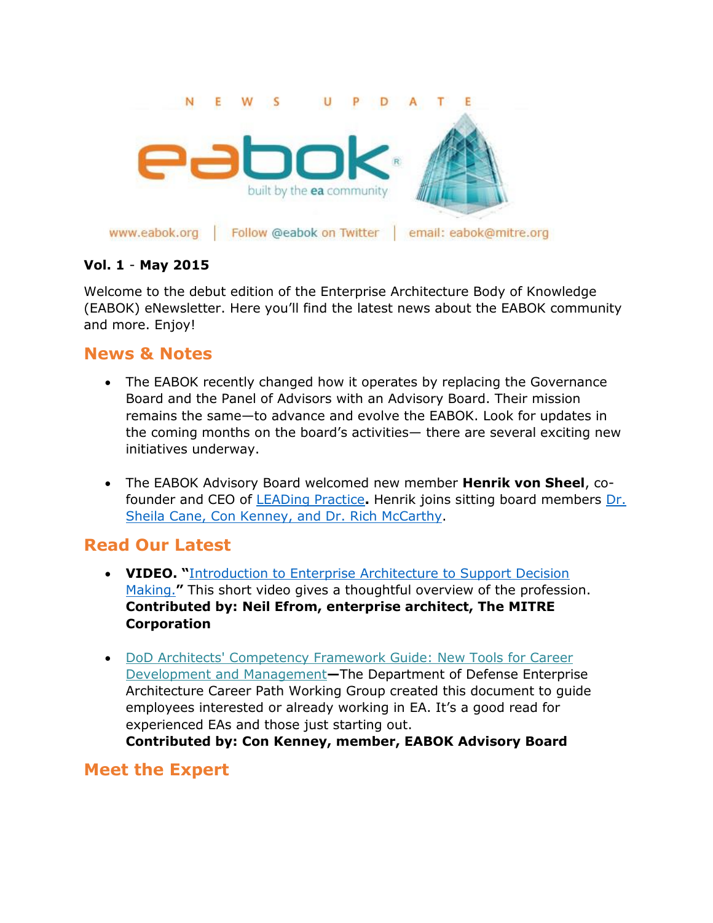

#### **Vol. 1** - **May 2015**

Welcome to the debut edition of the Enterprise Architecture Body of Knowledge (EABOK) eNewsletter. Here you'll find the latest news about the EABOK community and more. Enjoy!

## **News & Notes**

- The EABOK recently changed how it operates by replacing the Governance Board and the Panel of Advisors with an Advisory Board. Their mission remains the same—to advance and evolve the EABOK. Look for updates in the coming months on the board's activities— there are several exciting new initiatives underway.
- The EABOK Advisory Board welcomed new member **Henrik von Sheel**, cofounder and CEO of [LEADing Practice](http://www.leadingpractice.com/)**.** Henrik joins sitting board members [Dr.](http://www.eabok.org/governance.html)  [Sheila Cane, Con Kenney, and Dr. Rich McCarthy.](http://www.eabok.org/governance.html)

## **Read Our Latest**

- **VIDEO. "**[Introduction to Enterprise Architecture to Support Decision](https://www.youtube.com/watch?v=0dbB-3KwDCg&feature=youtu.be)  [Making.](https://www.youtube.com/watch?v=0dbB-3KwDCg&feature=youtu.be)**"** This short video gives a thoughtful overview of the profession. **Contributed by: Neil Efrom, enterprise architect, The MITRE Corporation**
- [DoD Architects' Competency Framework Guide: New Tools](http://www.eabok.org/pdf/DoD-Architecture-Career-Guidance-mar-24-2012.pdf) for Career [Development and Management](http://www.eabok.org/pdf/DoD-Architecture-Career-Guidance-mar-24-2012.pdf)**—**The Department of Defense Enterprise Architecture Career Path Working Group created this document to guide employees interested or already working in EA. It's a good read for experienced EAs and those just starting out.

**Contributed by: Con Kenney, member, EABOK Advisory Board**

## **Meet the Expert**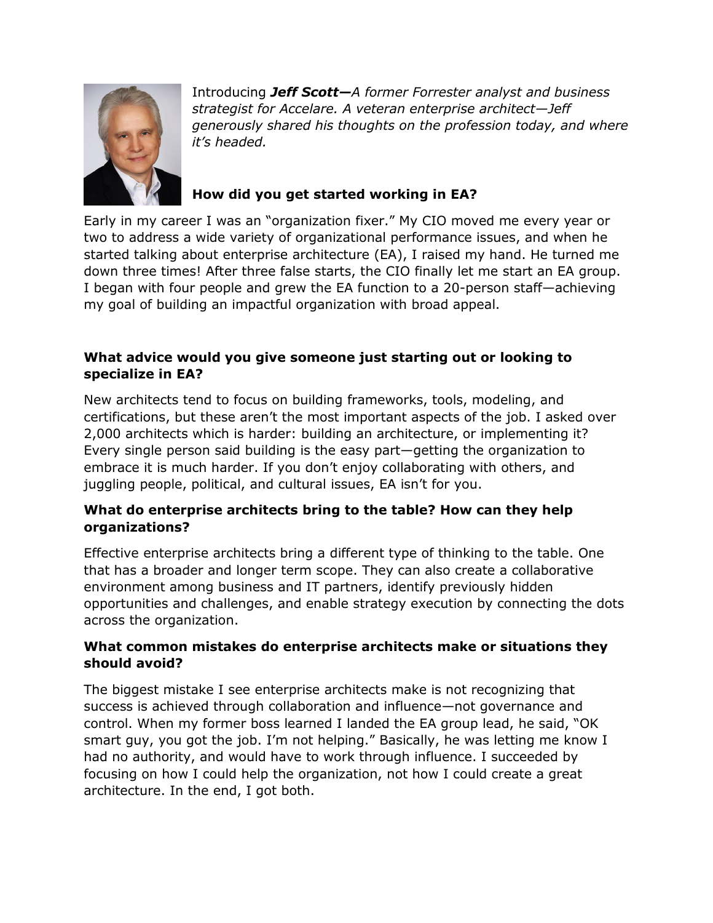

Introducing *Jeff Scott—A former Forrester analyst and business strategist for Accelare. A veteran enterprise architect—Jeff generously shared his thoughts on the profession today, and where it's headed.* 

### **How did you get started working in EA?**

Early in my career I was an "organization fixer." My CIO moved me every year or two to address a wide variety of organizational performance issues, and when he started talking about enterprise architecture (EA), I raised my hand. He turned me down three times! After three false starts, the CIO finally let me start an EA group. I began with four people and grew the EA function to a 20-person staff—achieving my goal of building an impactful organization with broad appeal.

#### **What advice would you give someone just starting out or looking to specialize in EA?**

New architects tend to focus on building frameworks, tools, modeling, and certifications, but these aren't the most important aspects of the job. I asked over 2,000 architects which is harder: building an architecture, or implementing it? Every single person said building is the easy part—getting the organization to embrace it is much harder. If you don't enjoy collaborating with others, and juggling people, political, and cultural issues, EA isn't for you.

#### **What do enterprise architects bring to the table? How can they help organizations?**

Effective enterprise architects bring a different type of thinking to the table. One that has a broader and longer term scope. They can also create a collaborative environment among business and IT partners, identify previously hidden opportunities and challenges, and enable strategy execution by connecting the dots across the organization.

#### **What common mistakes do enterprise architects make or situations they should avoid?**

The biggest mistake I see enterprise architects make is not recognizing that success is achieved through collaboration and influence—not governance and control. When my former boss learned I landed the EA group lead, he said, "OK smart guy, you got the job. I'm not helping." Basically, he was letting me know I had no authority, and would have to work through influence. I succeeded by focusing on how I could help the organization, not how I could create a great architecture. In the end, I got both.